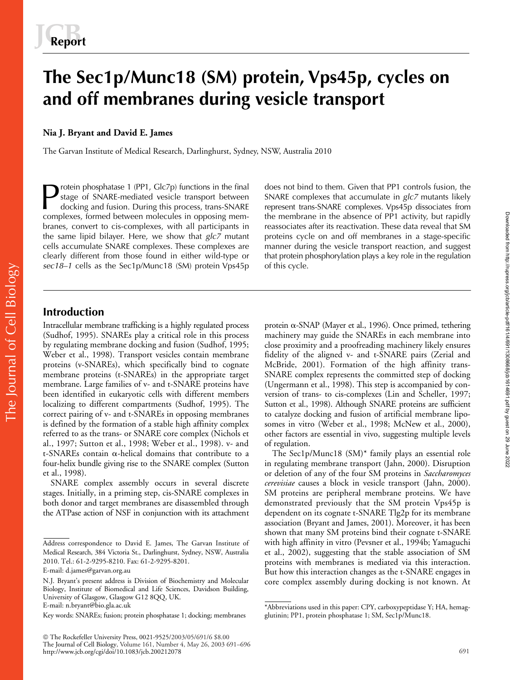# **The Sec1p/Munc18 (SM) protein, Vps45p, cycles on and off membranes during vesicle transport**

## **Nia J. Bryant and David E. James**

The Garvan Institute of Medical Research, Darlinghurst, Sydney, NSW, Australia 2010

rotein phosphatase 1 (PP1, Glc7p) functions in the final stage of SNARE-mediated vesicle transport between docking and fusion. During this process, trans-SNARE complexes, formed between molecules in opposing membranes, convert to cis-complexes, with all participants in the same lipid bilayer. Here, we show that *glc7* mutant cells accumulate SNARE complexes. These complexes are clearly different from those found in either wild-type or *sec18–1* cells as the Sec1p/Munc18 (SM) protein Vps45p Protein phosphatase 1 (PP1, Glc7p) functions in the final does not bind to them. Given that PP1 controls fusion, the<br>
stage of SNARE-mediated vesicle transport between<br>
docking and fusion. During this process, trans-SNARE

SNARE complexes that accumulate in *glc7* mutants likely the membrane in the absence of PP1 activity, but rapidly reassociates after its reactivation. These data reveal that SM proteins cycle on and off membranes in a stage-specific manner during the vesicle transport reaction, and suggest that protein phosphorylation plays a key role in the regulation of this cycle.

## **Introduction**

The Journal of Cell Biology

The Journal of Cell Biology

Intracellular membrane trafficking is a highly regulated process (Sudhof, 1995). SNAREs play a critical role in this process by regulating membrane docking and fusion (Sudhof, 1995; Weber et al., 1998). Transport vesicles contain membrane proteins (v-SNAREs), which specifically bind to cognate membrane proteins (t-SNAREs) in the appropriate target membrane. Large families of v- and t-SNARE proteins have been identified in eukaryotic cells with different members localizing to different compartments (Sudhof, 1995). The correct pairing of v- and t-SNAREs in opposing membranes is defined by the formation of a stable high affinity complex referred to as the trans- or SNARE core complex (Nichols et al., 1997; Sutton et al., 1998; Weber et al., 1998). v- and  $t$ -SNAREs contain  $\alpha$ -helical domains that contribute to a four-helix bundle giving rise to the SNARE complex (Sutton et al., 1998).

SNARE complex assembly occurs in several discrete stages. Initially, in a priming step, cis-SNARE complexes in both donor and target membranes are disassembled through the ATPase action of NSF in conjunction with its attachment

 The Rockefeller University Press, 0021-9525/2003/05/691/6 \$8.00 The Journal of Cell Biology, Volume 161, Number 4, May 26, 2003 691–696 http://www.jcb.org/cgi/doi/10.1083/jcb.200212078 691

protein  $\alpha$ -SNAP (Mayer et al., 1996). Once primed, tethering machinery may guide the SNAREs in each membrane into close proximity and a proofreading machinery likely ensures fidelity of the aligned v- and t-SNARE pairs (Zerial and McBride, 2001). Formation of the high affinity trans-SNARE complex represents the committed step of docking (Ungermann et al., 1998). This step is accompanied by conversion of trans- to cis-complexes (Lin and Scheller, 1997; Sutton et al., 1998). Although SNARE proteins are sufficient to catalyze docking and fusion of artificial membrane liposomes in vitro (Weber et al., 1998; McNew et al., 2000), other factors are essential in vivo, suggesting multiple levels of regulation.

The Sec1p/Munc18 (SM)\* family plays an essential role in regulating membrane transport (Jahn, 2000). Disruption or deletion of any of the four SM proteins in *Saccharomyces cerevisiae* causes a block in vesicle transport (Jahn, 2000). SM proteins are peripheral membrane proteins. We have demonstrated previously that the SM protein Vps45p is dependent on its cognate t-SNARE Tlg2p for its membrane association (Bryant and James, 2001). Moreover, it has been shown that many SM proteins bind their cognate t-SNARE with high affinity in vitro (Pevsner et al., 1994b; Yamaguchi et al., 2002), suggesting that the stable association of SM proteins with membranes is mediated via this interaction. But how this interaction changes as the t-SNARE engages in core complex assembly during docking is not known. At

Address correspondence to David E. James, The Garvan Institute of Medical Research, 384 Victoria St., Darlinghurst, Sydney, NSW, Australia 2010. Tel.: 61-2-9295-8210. Fax: 61-2-9295-8201.

E-mail: d.james@garvan.org.au

N.J. Bryant's present address is Division of Biochemistry and Molecular Biology, Institute of Biomedical and Life Sciences, Davidson Building, University of Glasgow, Glasgow G12 8QQ, UK. E-mail: n.bryant@bio.gla.ac.uk

Key words: SNAREs; fusion; protein phosphatase 1; docking; membranes

<sup>\*</sup>Abbreviations used in this paper: CPY, carboxypeptidase Y; HA, hemagglutinin; PP1, protein phosphatase 1; SM, Sec1p/Munc18.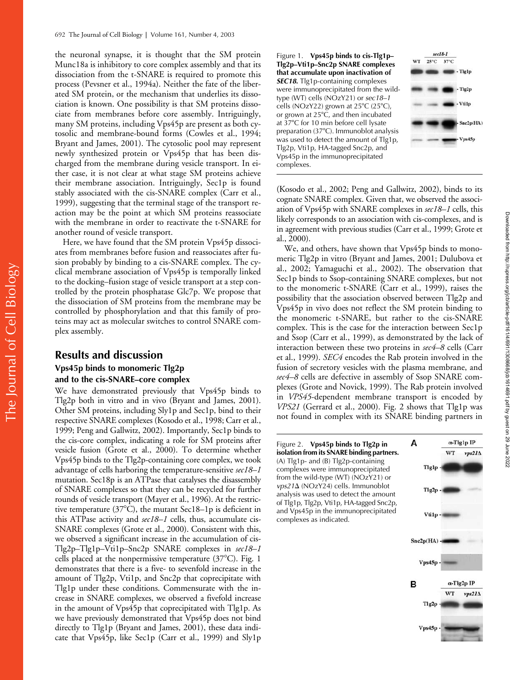the neuronal synapse, it is thought that the SM protein Munc18a is inhibitory to core complex assembly and that its dissociation from the t-SNARE is required to promote this process (Pevsner et al., 1994a). Neither the fate of the liberated SM protein, or the mechanism that underlies its dissociation is known. One possibility is that SM proteins dissociate from membranes before core assembly. Intriguingly, many SM proteins, including Vps45p are present as both cytosolic and membrane-bound forms (Cowles et al., 1994; Bryant and James, 2001). The cytosolic pool may represent newly synthesized protein or Vps45p that has been discharged from the membrane during vesicle transport. In either case, it is not clear at what stage SM proteins achieve their membrane association. Intriguingly, Sec1p is found stably associated with the cis-SNARE complex (Carr et al., 1999), suggesting that the terminal stage of the transport reaction may be the point at which SM proteins reassociate with the membrane in order to reactivate the t-SNARE for another round of vesicle transport.

Here, we have found that the SM protein Vps45p dissociates from membranes before fusion and reassociates after fusion probably by binding to a cis-SNARE complex. The cyclical membrane association of Vps45p is temporally linked to the docking–fusion stage of vesicle transport at a step controlled by the protein phosphatase Glc7p. We propose that the dissociation of SM proteins from the membrane may be controlled by phosphorylation and that this family of proteins may act as molecular switches to control SNARE complex assembly.

## **Results and discussion Vps45p binds to monomeric Tlg2p and to the cis-SNARE–core complex**

The Journal of Cell Biology

The Journal of Cell Biology

We have demonstrated previously that Vps45p binds to Tlg2p both in vitro and in vivo (Bryant and James, 2001). Other SM proteins, including Sly1p and Sec1p, bind to their respective SNARE complexes (Kosodo et al., 1998; Carr et al., 1999; Peng and Gallwitz, 2002). Importantly, Sec1p binds to the cis-core complex, indicating a role for SM proteins after vesicle fusion (Grote et al., 2000). To determine whether Vps45p binds to the Tlg2p-containing core complex, we took advantage of cells harboring the temperature-sensitive *sec18–1* mutation. Sec18p is an ATPase that catalyses the disassembly of SNARE complexes so that they can be recycled for further rounds of vesicle transport (Mayer et al., 1996). At the restrictive temperature  $(37^{\circ}C)$ , the mutant Sec18–1p is deficient in this ATPase activity and *sec18–1* cells, thus, accumulate cis-SNARE complexes (Grote et al., 2000). Consistent with this, we observed a significant increase in the accumulation of cis-Tlg2p–Tlg1p–Vti1p–Snc2p SNARE complexes in *sec18–1* cells placed at the nonpermissive temperature  $(37^{\circ}C)$ . Fig. 1 demonstrates that there is a five- to sevenfold increase in the amount of Tlg2p, Vti1p, and Snc2p that coprecipitate with Tlg1p under these conditions. Commensurate with the increase in SNARE complexes, we observed a fivefold increase in the amount of Vps45p that coprecipitated with Tlg1p. As we have previously demonstrated that Vps45p does not bind directly to Tlg1p (Bryant and James, 2001), these data indicate that Vps45p, like Sec1p (Carr et al., 1999) and Sly1p





(Kosodo et al., 2002; Peng and Gallwitz, 2002), binds to its cognate SNARE complex. Given that, we observed the association of Vps45p with SNARE complexes in *sec18–1* cells, this likely corresponds to an association with cis-complexes, and is in agreement with previous studies (Carr et al., 1999; Grote et al., 2000).

We, and others, have shown that Vps45p binds to monomeric Tlg2p in vitro (Bryant and James, 2001; Dulubova et al., 2002; Yamaguchi et al., 2002). The observation that Sec1p binds to Ssop-containing SNARE complexes, but not to the monomeric t-SNARE (Carr et al., 1999), raises the possibility that the association observed between Tlg2p and Vps45p in vivo does not reflect the SM protein binding to the monomeric t-SNARE, but rather to the cis-SNARE complex. This is the case for the interaction between Sec1p and Ssop (Carr et al., 1999), as demonstrated by the lack of interaction between these two proteins in *sec4–8* cells (Carr et al., 1999). *SEC4* encodes the Rab protein involved in the fusion of secretory vesicles with the plasma membrane, and *sec4–8* cells are defective in assembly of Ssop SNARE complexes (Grote and Novick, 1999). The Rab protein involved in *VPS45*-dependent membrane transport is encoded by *VPS21* (Gerrard et al., 2000). Fig. 2 shows that Tlg1p was not found in complex with its SNARE binding partners in

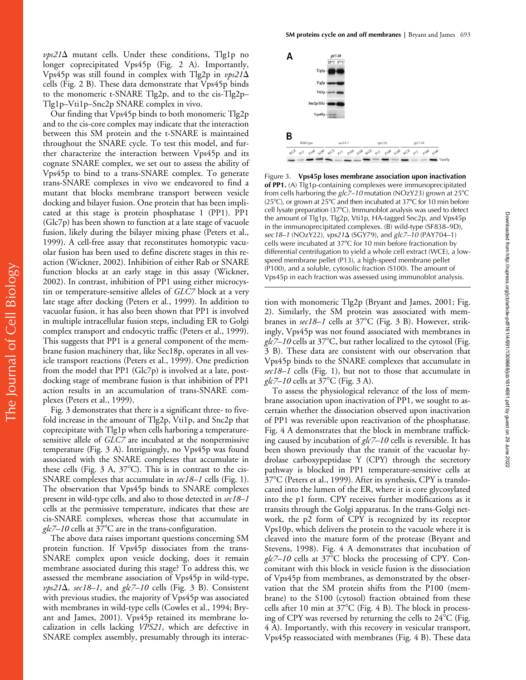$\nu p s 21\Delta$  mutant cells. Under these conditions, Tlg1p no longer coprecipitated Vps45p (Fig. 2 A). Importantly, Vps45p was still found in complex with Tlg2p in *vps21* cells (Fig. 2 B). These data demonstrate that Vps45p binds to the monomeric t-SNARE Tlg2p, and to the cis-Tlg2p– Tlg1p–Vti1p–Snc2p SNARE complex in vivo.

Our finding that Vps45p binds to both monomeric Tlg2p and to the cis-core complex may indicate that the interaction between this SM protein and the t-SNARE is maintained throughout the SNARE cycle. To test this model, and further characterize the interaction between Vps45p and its cognate SNARE complex, we set out to assess the ability of Vps45p to bind to a trans-SNARE complex. To generate trans-SNARE complexes in vivo we endeavored to find a mutant that blocks membrane transport between vesicle docking and bilayer fusion. One protein that has been implicated at this stage is protein phosphatase 1 (PP1). PP1 (Glc7p) has been shown to function at a late stage of vacuole fusion, likely during the bilayer mixing phase (Peters et al., 1999). A cell-free assay that reconstitutes homotypic vacuolar fusion has been used to define discrete stages in this reaction (Wickner, 2002). Inhibition of either Rab or SNARE function blocks at an early stage in this assay (Wickner, 2002). In contrast, inhibition of PP1 using either microcystin or temperature-sensitive alleles of *GLC7* block at a very late stage after docking (Peters et al., 1999). In addition to vacuolar fusion, it has also been shown that PP1 is involved in multiple intracellular fusion steps, including ER to Golgi complex transport and endocytic traffic (Peters et al., 1999). This suggests that PP1 is a general component of the membrane fusion machinery that, like Sec18p, operates in all vesicle transport reactions (Peters et al., 1999). One prediction from the model that PP1 (Glc7p) is involved at a late, postdocking stage of membrane fusion is that inhibition of PP1 action results in an accumulation of trans-SNARE complexes (Peters et al., 1999).

Fig. 3 demonstrates that there is a significant three- to fivefold increase in the amount of Tlg2p, Vti1p, and Snc2p that coprecipitate with Tlg1p when cells harboring a temperaturesensitive allele of *GLC7* are incubated at the nonpermissive temperature (Fig. 3 A). Intriguingly, no Vps45p was found associated with the SNARE complexes that accumulate in these cells (Fig. 3 A,  $37^{\circ}$ C). This is in contrast to the cis-SNARE complexes that accumulate in *sec18–1* cells (Fig. 1). The observation that Vps45p binds to SNARE complexes present in wild-type cells, and also to those detected in *sec18–1* cells at the permissive temperature, indicates that these are cis-SNARE complexes, whereas those that accumulate in  $g/c$ *7–10* cells at 37<sup>o</sup>C are in the trans-configuration.

The above data raises important questions concerning SM protein function. If Vps45p dissociates from the trans-SNARE complex upon vesicle docking, does it remain membrane associated during this stage? To address this, we assessed the membrane association of Vps45p in wild-type,  $vps21\Delta$ ,  $sec18-1$ , and  $glc7-10$  cells (Fig. 3 B). Consistent with previous studies, the majority of Vps45p was associated with membranes in wild-type cells (Cowles et al., 1994; Bryant and James, 2001). Vps45p retained its membrane localization in cells lacking *VPS21*, which are defective in SNARE complex assembly, presumably through its interac-



Figure 3. **Vps45p loses membrane association upon inactivation of PP1.** (A) Tlg1p-containing complexes were immunoprecipitated from cells harboring the *glc7–10* mutation (NOzY23) grown at 25C  $(25^{\circ}C)$ , or grown at 25°C and then incubated at 37°C for 10 min before cell lysate preparation  $(37^{\circ}C)$ . Immunoblot analysis was used to detect the amount of Tlg1p, Tlg2p, Vti1p, HA-tagged Snc2p, and Vps45p in the immunoprecipitated complexes. (B) wild-type (SF838–9D), *sec18–1* (NOzY22), *vps21* (SGY79), and *glc7–10* (PAY704–1) cells were incubated at  $37^{\circ}$ C for 10 min before fractionation by differential centrifugation to yield a whole cell extract (WCE), a lowspeed membrane pellet (P13), a high-speed membrane pellet (P100), and a soluble, cytosolic fraction (S100). The amount of Vps45p in each fraction was assessed using immunoblot analysis.

tion with monomeric Tlg2p (Bryant and James, 2001; Fig. 2). Similarly, the SM protein was associated with membranes in *sec18-1* cells at 37°C (Fig. 3 B). However, strikingly, Vps45p was not found associated with membranes in  $glc$ 7–10 cells at 37°C, but rather localized to the cytosol (Fig. 3 B). These data are consistent with our observation that Vps45p binds to the SNARE complexes that accumulate in *sec18–1* cells (Fig. 1), but not to those that accumulate in *glc7–10* cells at 37<sup>o</sup>C (Fig. 3 A).

Downloaded from http://rupress.org/jcb/article-pdf/161/4/691/1308668/jcb1614691.pdf by guest on 29 June 2022

Downloaded from http://rupress.org/jcb/article-pdf/161/4/691/1308668/jcb1614691.pdf by guest on 29 June 2022

To assess the physiological relevance of the loss of membrane association upon inactivation of PP1, we sought to ascertain whether the dissociation observed upon inactivation of PP1 was reversible upon reactivation of the phosphatase. Fig. 4 A demonstrates that the block in membrane trafficking caused by incubation of *glc7–10* cells is reversible. It has been shown previously that the transit of the vacuolar hydrolase carboxypeptidase Y (CPY) through the secretory pathway is blocked in PP1 temperature-sensitive cells at 37°C (Peters et al., 1999). After its synthesis, CPY is translocated into the lumen of the ER, where it is core glycosylated into the p1 form. CPY receives further modifications as it transits through the Golgi apparatus. In the trans-Golgi network, the p2 form of CPY is recognized by its receptor Vps10p, which delivers the protein to the vacuole where it is cleaved into the mature form of the protease (Bryant and Stevens, 1998). Fig. 4 A demonstrates that incubation of  $glc$ 7–10 cells at 37 $^{\circ}$ C blocks the processing of CPY. Concomitant with this block in vesicle fusion is the dissociation of Vps45p from membranes, as demonstrated by the observation that the SM protein shifts from the P100 (membrane) to the S100 (cytosol) fraction obtained from these cells after 10 min at  $37^{\circ}$ C (Fig. 4 B). The block in processing of CPY was reversed by returning the cells to  $24^{\circ}$ C (Fig. 4 A). Importantly, with this recovery in vesicular transport, Vps45p reassociated with membranes (Fig. 4 B). These data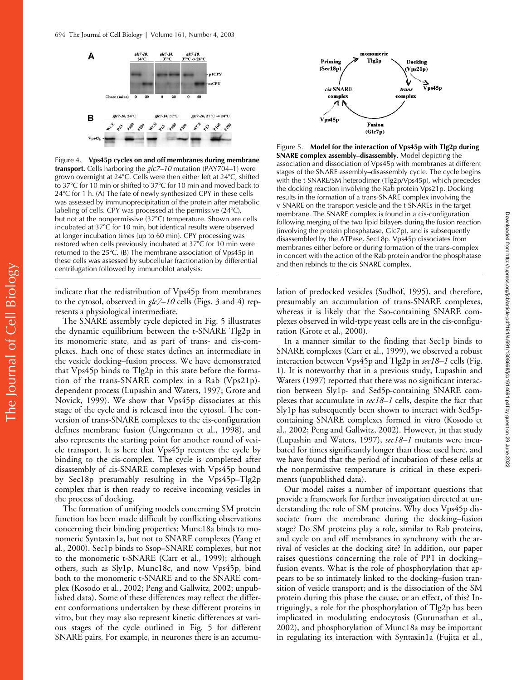



indicate that the redistribution of Vps45p from membranes to the cytosol, observed in *glc7–10* cells (Figs. 3 and 4) represents a physiological intermediate.

The SNARE assembly cycle depicted in Fig. 5 illustrates the dynamic equilibrium between the t-SNARE Tlg2p in its monomeric state, and as part of trans- and cis-complexes. Each one of these states defines an intermediate in the vesicle docking–fusion process. We have demonstrated that Vps45p binds to Tlg2p in this state before the formation of the trans-SNARE complex in a Rab (Vps21p) dependent process (Lupashin and Waters, 1997; Grote and Novick, 1999). We show that Vps45p dissociates at this stage of the cycle and is released into the cytosol. The conversion of trans-SNARE complexes to the cis-configuration defines membrane fusion (Ungermann et al., 1998), and also represents the starting point for another round of vesicle transport. It is here that Vps45p reenters the cycle by binding to the cis-complex. The cycle is completed after disassembly of cis-SNARE complexes with Vps45p bound by Sec18p presumably resulting in the Vps45p–Tlg2p complex that is then ready to receive incoming vesicles in the process of docking.

The formation of unifying models concerning SM protein function has been made difficult by conflicting observations concerning their binding properties: Munc18a binds to monomeric Syntaxin1a, but not to SNARE complexes (Yang et al., 2000). Sec1p binds to Ssop–SNARE complexes, but not to the monomeric t-SNARE (Carr et al., 1999); although others, such as Sly1p, Munc18c, and now Vps45p, bind both to the monomeric t-SNARE and to the SNARE complex (Kosodo et al., 2002; Peng and Gallwitz, 2002; unpublished data). Some of these differences may reflect the different conformations undertaken by these different proteins in vitro, but they may also represent kinetic differences at various stages of the cycle outlined in Fig. 5 for different SNARE pairs. For example, in neurones there is an accumu-



Figure 5. **Model for the interaction of Vps45p with Tlg2p during SNARE complex assembly–disassembly.** Model depicting the association and dissociation of Vps45p with membranes at different stages of the SNARE assembly–disassembly cycle. The cycle begins with the t-SNARE/SM heterodimer (Tlg2p/Vps45p), which precedes the docking reaction involving the Rab protein Vps21p. Docking results in the formation of a trans-SNARE complex involving the v-SNARE on the transport vesicle and the t-SNAREs in the target membrane. The SNARE complex is found in a cis-configuration following merging of the two lipid bilayers during the fusion reaction (involving the protein phosphatase, Glc7p), and is subsequently disassembled by the ATPase, Sec18p. Vps45p dissociates from membranes either before or during formation of the trans-complex in concert with the action of the Rab protein and/or the phosphatase and then rebinds to the cis-SNARE complex.

lation of predocked vesicles (Sudhof, 1995), and therefore, presumably an accumulation of trans-SNARE complexes, whereas it is likely that the Sso-containing SNARE complexes observed in wild-type yeast cells are in the cis-configuration (Grote et al., 2000).

In a manner similar to the finding that Sec1p binds to SNARE complexes (Carr et al., 1999), we observed a robust interaction between Vps45p and Tlg2p in *sec18–1* cells (Fig. 1). It is noteworthy that in a previous study, Lupashin and Waters (1997) reported that there was no significant interaction between Sly1p- and Sed5p-containing SNARE complexes that accumulate in *sec18–1* cells, despite the fact that Sly1p has subsequently been shown to interact with Sed5pcontaining SNARE complexes formed in vitro (Kosodo et al., 2002; Peng and Gallwitz, 2002). However, in that study (Lupashin and Waters, 1997), *sec18–1* mutants were incubated for times significantly longer than those used here, and we have found that the period of incubation of these cells at the nonpermissive temperature is critical in these experiments (unpublished data).

Our model raises a number of important questions that provide a framework for further investigation directed at understanding the role of SM proteins. Why does Vps45p dissociate from the membrane during the docking–fusion stage? Do SM proteins play a role, similar to Rab proteins, and cycle on and off membranes in synchrony with the arrival of vesicles at the docking site? In addition, our paper raises questions concerning the role of PP1 in docking– fusion events. What is the role of phosphorylation that appears to be so intimately linked to the docking–fusion transition of vesicle transport; and is the dissociation of the SM protein during this phase the cause, or an effect, of this? Intriguingly, a role for the phosphorylation of Tlg2p has been implicated in modulating endocytosis (Gurunathan et al., 2002), and phosphorylation of Munc18a may be important in regulating its interaction with Syntaxin1a (Fujita et al.,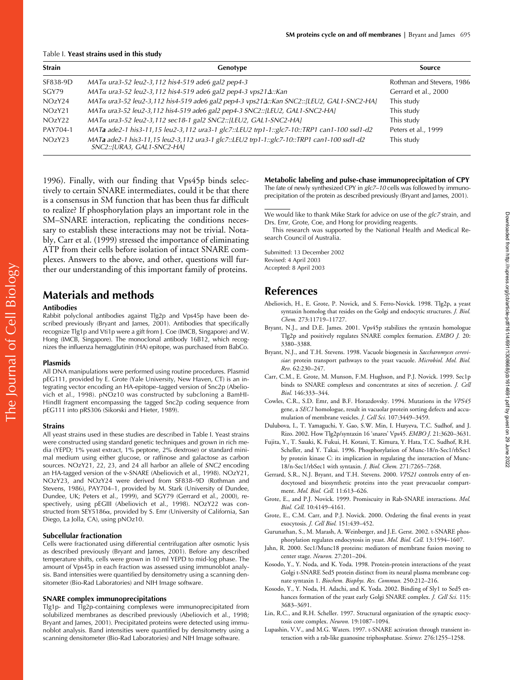#### Table I. **Yeast strains used in this study**

| <b>Strain</b>      | Genotype                                                                                                                 | Source                    |
|--------------------|--------------------------------------------------------------------------------------------------------------------------|---------------------------|
| SF838-9D           | $MAT\alpha$ ura3-52 leu2-3,112 his4-519 ade6 gal2 pep4-3                                                                 | Rothman and Stevens, 1986 |
| SGY79              | MATα ura3-52 leu2-3,112 his4-519 ade6 gal2 pep4-3 vps21Δ::Kan                                                            | Gerrard et al., 2000      |
| NOzY24             | MATα ura3-52 leu2-3,112 his4-519 ade6 gal2 pep4-3 vps21Δ:: Kan SNC2:: [LEU2, GAL1-SNC2-HA]                               | This study                |
| NOzY <sub>21</sub> | MATa ura3-52 leu2-3,112 his4-519 ade6 gal2 pep4-3 SNC2::[LEU2, GAL1-SNC2-HA]                                             | This study                |
| NOzY22             | MATa ura3-52 leu2-3,112 sec18-1 gal2 SNC2::[LEU2, GAL1-SNC2-HA]                                                          | This study                |
| PAY704-1           | MATa ade2-1 his3-11,15 leu2-3,112 ura3-1 glc7::LEU2 trp1-1::glc7-10::TRP1 can1-100 ssd1-d2                               | Peters et al., 1999       |
| NOZY23             | MATa ade2-1 his3-11,15 leu2-3,112 ura3-1 glc7::LEU2 trp1-1::glc7-10::TRP1 can1-100 ssd1-d2<br>SNC2::[URA3, GAL1-SNC2-HA] | This study                |

1996). Finally, with our finding that Vps45p binds selectively to certain SNARE intermediates, could it be that there is a consensus in SM function that has been thus far difficult to realize? If phosphorylation plays an important role in the SM-SNARE interaction, replicating the conditions necessary to establish these interactions may not be trivial. Notably, Carr et al. (1999) stressed the importance of eliminating ATP from their cells before isolation of intact SNARE complexes. Answers to the above, and other, questions will further our understanding of this important family of proteins.

# **Materials and methods**

#### **Antibodies**

Rabbit polyclonal antibodies against Tlg2p and Vps45p have been described previously (Bryant and James, 2001). Antibodies that specifically recognize Tlg1p and Vti1p were a gift from J. Coe (IMCB, Singapore) and W. Hong (IMCB, Singapore). The monoclonal antibody 16B12, which recognizes the influenza hemagglutinin (HA) epitope, was purchased from BabCo.

#### **Plasmids**

All DNA manipulations were performed using routine procedures. Plasmid pEG111, provided by E. Grote (Yale University, New Haven, CT) is an integrating vector encoding an HA-epitope–tagged version of Snc2p (Abeliovich et al., 1998). pNOz10 was constructed by subcloning a BamHI-HindII fragment encompassing the tagged Snc2p coding sequence from pEG111 into pRS306 (Sikorski and Hieter, 1989).

#### **Strains**

All yeast strains used in these studies are described in Table I. Yeast strains were constructed using standard genetic techniques and grown in rich media (YEPD; 1% yeast extract, 1% peptone, 2% dextrose) or standard minimal medium using either glucose, or raffinose and galactose as carbon sources. NOzY21, 22, 23, and 24 all harbor an allele of *SNC2* encoding an HA-tagged version of the v-SNARE (Abeliovich et al., 1998). NOzY21, NOzY23, and NOzY24 were derived from SF838–9D (Rothman and Stevens, 1986), PAY704–1, provided by M. Stark (University of Dundee, Dundee, UK; Peters et al., 1999), and SGY79 (Gerrard et al., 2000), respectively, using pEGIII (Abeliovich et al., 1998). NOzY22 was constructed from SEY5186α, provided by S. Emr (University of California, San Diego, La Jolla, CA), using pNOz10.

#### **Subcellular fractionation**

Cells were fractionated using differential centrifugation after osmotic lysis as described previously (Bryant and James, 2001). Before any described temperature shifts, cells were grown in 10 ml YEPD to mid-log phase. The amount of Vps45p in each fraction was assessed using immunoblot analysis. Band intensities were quantified by densitometry using a scanning densitometer (Bio-Rad Laboratories) and NIH Image software.

#### **SNARE complex immunoprecipitations**

Tlg1p- and Tlg2p-containing complexes were immunoprecipitated from solubilized membranes as described previously (Abeliovich et al., 1998; Bryant and James, 2001). Precipitated proteins were detected using immunoblot analysis. Band intensities were quantified by densitometry using a scanning densitometer (Bio-Rad Laboratories) and NIH Image software.

**Metabolic labeling and pulse-chase immunoprecipitation of CPY** The fate of newly synthesized CPY in *glc7–10* cells was followed by immunoprecipitation of the protein as described previously (Bryant and James, 2001).

We would like to thank Mike Stark for advice on use of the *glc7* strain, and Drs. Emr, Grote, Coe, and Hong for providing reagents.

This research was supported by the National Health and Medical Research Council of Australia.

Submitted: 13 December 2002 Revised: 4 April 2003 Accepted: 8 April 2003

### **References**

- Abeliovich, H., E. Grote, P. Novick, and S. Ferro-Novick. 1998. Tlg2p, a yeast syntaxin homolog that resides on the Golgi and endocytic structures. *J. Biol. Chem.* 273:11719–11727.
- Bryant, N.J., and D.E. James. 2001. Vps45p stabilizes the syntaxin homologue Tlg2p and positively regulates SNARE complex formation. *EMBO J.* 20: 3380–3388.
- Bryant, N.J., and T.H. Stevens. 1998. Vacuole biogenesis in *Saccharomyces cerevisiae*: protein transport pathways to the yeast vacuole. *Microbiol. Mol. Biol. Rev.* 62:230–247.
- Carr, C.M., E. Grote, M. Munson, F.M. Hughson, and P.J. Novick. 1999. Sec1p binds to SNARE complexes and concentrates at sites of secretion. *J. Cell Biol.* 146:333–344.
- Cowles, C.R., S.D. Emr, and B.F. Horazdovsky. 1994. Mutations in the *VPS45* gene, a *SEC1* homologue, result in vacuolar protein sorting defects and accumulation of membrane vesicles. *J. Cell Sci.* 107:3449–3459.
- Dulubova, I., T. Yamaguchi, Y. Gao, S.W. Min, I. Huryeva, T.C. Sudhof, and J. Rizo. 2002. How Tlg2p/syntaxin 16 'snares' Vps45. *EMBO J.* 21:3620–3631.
- Fujita, Y., T. Sasaki, K. Fukui, H. Kotani, T. Kimura, Y. Hata, T.C. Sudhof, R.H. Scheller, and Y. Takai. 1996. Phosphorylation of Munc-18/n-Sec1/rbSec1 by protein kinase C: its implication in regulating the interaction of Munc-18/n-Sec1/rbSec1 with syntaxin. *J. Biol. Chem.* 271:7265–7268.
- Gerrard, S.R., N.J. Bryant, and T.H. Stevens. 2000. *VPS21* controls entry of endocytosed and biosynthetic proteins into the yeast prevacuolar compartment. *Mol. Biol. Cell.* 11:613–626.
- Grote, E., and P.J. Novick. 1999. Promiscuity in Rab-SNARE interactions. *Mol. Biol. Cell.* 10:4149–4161.
- Grote, E., C.M. Carr, and P.J. Novick. 2000. Ordering the final events in yeast exocytosis. *J. Cell Biol.* 151:439–452.
- Gurunathan, S., M. Marash, A. Weinberger, and J.E. Gerst. 2002. t-SNARE phosphorylation regulates endocytosis in yeast. *Mol. Biol. Cell.* 13:1594–1607.
- Jahn, R. 2000. Sec1/Munc18 proteins: mediators of membrane fusion moving to center stage. *Neuron.* 27:201–204.
- Kosodo, Y., Y. Noda, and K. Yoda. 1998. Protein-protein interactions of the yeast Golgi t-SNARE Sed5 protein distinct from its neural plasma membrane cognate syntaxin 1. *Biochem. Biophys. Res. Commun.* 250:212–216.
- Kosodo, Y., Y. Noda, H. Adachi, and K. Yoda. 2002. Binding of Sly1 to Sed5 enhances formation of the yeast early Golgi SNARE complex. *J. Cell Sci.* 115: 3683–3691.
- Lin, R.C., and R.H. Scheller. 1997. Structural organization of the synaptic exocytosis core complex. *Neuron.* 19:1087–1094.
- Lupashin, V.V., and M.G. Waters. 1997. t-SNARE activation through transient interaction with a rab-like guanosine triphosphatase. *Science.* 276:1255–1258.